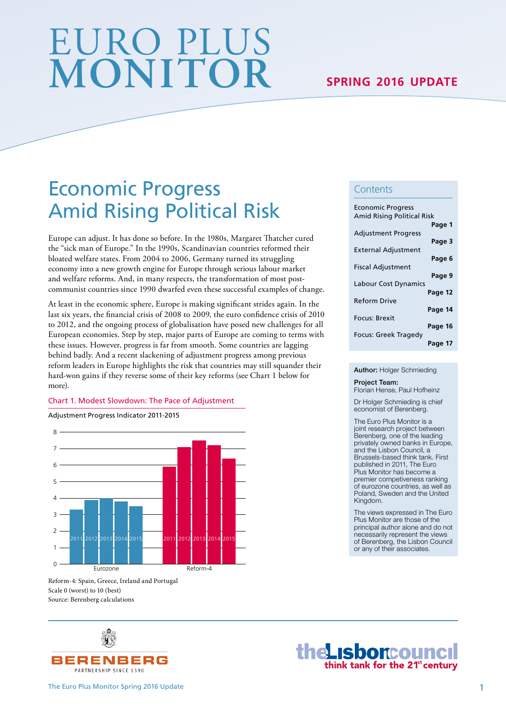# EURO PLUS **MONITOR SPRING 2016 UPDATE**

## Economic Progress Amid Rising Political Risk

Europe can adjust. It has done so before. In the 1980s, Margaret Tatcher cured the "sick man of Europe." In the 1990s, Scandinavian countries reformed their bloated welfare states. From 2004 to 2006, Germany turned its struggling economy into a new growth engine for Europe through serious labour market and welfare reforms. And, in many respects, the transformation of most postcommunist countries since 1990 dwarfed even these successful examples of change.

At least in the economic sphere, Europe is making significant strides again. In the last six years, the financial crisis of 2008 to 2009, the euro confidence crisis of 2010 to 2012, and the ongoing process of globalisation have posed new challenges for all European economies. Step by step, major parts of Europe are coming to terms with these issues. However, progress is far from smooth. Some countries are lagging behind badly. And a recent slackening of adjustment progress among previous reform leaders in Europe highlights the risk that countries may still squander their hard-won gains if they reverse some of their key reforms (see Chart 1 below for more).

#### Chart 1. Modest Slowdown: The Pace of Adjustment

Adjustment Progress Indicator 2011-2015

 $\Omega$ 1 2 3  $\mathbf{A}$ . 5 6 7  $8<sup>1</sup>$ Eurozone Reform-4 2011 2012 2013 2014 2015 2011 2012 2013 2014 2015

Reform-4: Spain, Greece, Ireland and Portugal Scale 0 (worst) to 10 (best) Source: Berenberg calculations



the LISboncouncil

#### **Contents**

| <b>Economic Progress</b><br><b>Amid Rising Political Risk</b> |         |
|---------------------------------------------------------------|---------|
| <b>Adjustment Progress</b>                                    | Page 1  |
| External Adjustment                                           | Page 3  |
| <b>Fiscal Adjustment</b>                                      | Page 6  |
| <b>Labour Cost Dynamics</b>                                   | Page 9  |
| <b>Reform Drive</b>                                           | Page 12 |
| Focus: Brexit                                                 | Page 14 |
| Focus: Greek Tragedy                                          | Page 16 |
|                                                               | Page 17 |

Author: Holger Schmieding

Project Team: Florian Hense, Paul Hofheinz

Dr Holger Schmieding is chief economist of Berenberg.

The Euro Plus Monitor is a joint research project between Berenberg, one of the leading privately owned banks in Europe, and the Lisbon Council, a Brussels-based think tank. First published in 2011, The Euro Plus Monitor has become a premier competiveness ranking of eurozone countries, as well as Poland, Sweden and the United Kingdom.

The views expressed in The Euro Plus Monitor are those of the principal author alone and do not necessarily represent the views of Berenberg, the Lisbon Council or any of their associates.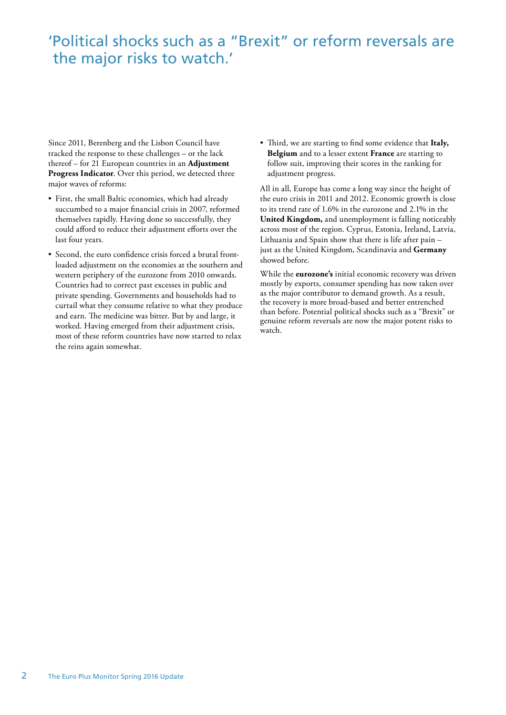### 'Political shocks such as a "Brexit" or reform reversals are the major risks to watch.'

Since 2011, Berenberg and the Lisbon Council have tracked the response to these challenges – or the lack thereof – for 21 European countries in an **Adjustment Progress Indicator**. Over this period, we detected three major waves of reforms:

- First, the small Baltic economies, which had already succumbed to a major financial crisis in 2007, reformed themselves rapidly. Having done so successfully, they could afford to reduce their adjustment efforts over the last four years.
- Second, the euro confidence crisis forced a brutal frontloaded adjustment on the economies at the southern and western periphery of the eurozone from 2010 onwards. Countries had to correct past excesses in public and private spending. Governments and households had to curtail what they consume relative to what they produce and earn. The medicine was bitter. But by and large, it worked. Having emerged from their adjustment crisis, most of these reform countries have now started to relax the reins again somewhat.

• Third, we are starting to find some evidence that Italy, **Belgium** and to a lesser extent **France** are starting to follow suit, improving their scores in the ranking for adjustment progress.

All in all, Europe has come a long way since the height of the euro crisis in 2011 and 2012. Economic growth is close to its trend rate of 1.6% in the eurozone and 2.1% in the **United Kingdom,** and unemployment is falling noticeably across most of the region. Cyprus, Estonia, Ireland, Latvia, Lithuania and Spain show that there is life after pain – just as the United Kingdom, Scandinavia and **Germany** showed before.

While the **eurozone's** initial economic recovery was driven mostly by exports, consumer spending has now taken over as the major contributor to demand growth. As a result, the recovery is more broad-based and better entrenched than before. Potential political shocks such as a "Brexit" or genuine reform reversals are now the major potent risks to watch.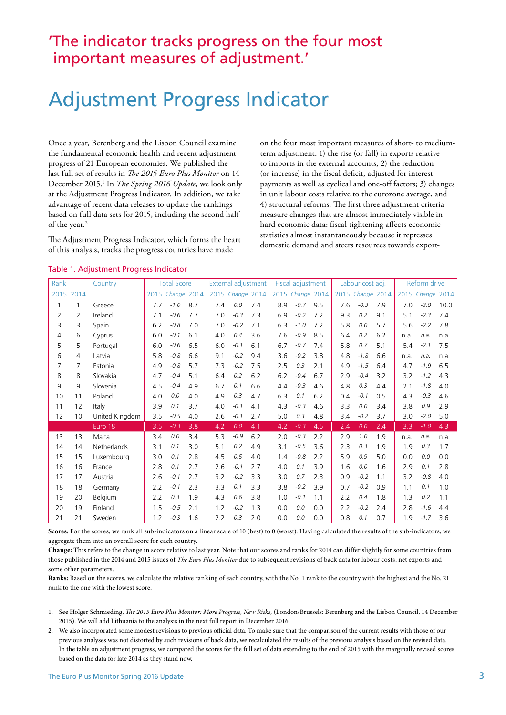### 'The indicator tracks progress on the four most important measures of adjustment.'

## Adjustment Progress Indicator

Once a year, Berenberg and the Lisbon Council examine the fundamental economic health and recent adjustment progress of 21 European economies. We published the last full set of results in *Te 2015 Euro Plus Monitor* on 14 December 2015.1 In *The Spring 2016 Update*, we look only at the Adjustment Progress Indicator. In addition, we take advantage of recent data releases to update the rankings based on full data sets for 2015, including the second half of the year.<sup>2</sup>

The Adjustment Progress Indicator, which forms the heart of this analysis, tracks the progress countries have made

on the four most important measures of short- to mediumterm adjustment: 1) the rise (or fall) in exports relative to imports in the external accounts; 2) the reduction (or increase) in the fiscal deficit, adjusted for interest payments as well as cyclical and one-off factors; 3) changes in unit labour costs relative to the eurozone average, and 4) structural reforms. The first three adjustment criteria measure changes that are almost immediately visible in hard economic data: fiscal tightening affects economic statistics almost instantaneously because it represses domestic demand and steers resources towards export-

| Rank |                | <b>Total Score</b><br>Country |     | External adjustment |     |     | Fiscal adjustment |     |      | Labour cost adj. |     |     | Reform drive     |     |      |                  |      |
|------|----------------|-------------------------------|-----|---------------------|-----|-----|-------------------|-----|------|------------------|-----|-----|------------------|-----|------|------------------|------|
|      | 2015 2014      |                               |     | 2015 Change 2014    |     |     | 2015 Change 2014  |     | 2015 | Change 2014      |     |     | 2015 Change 2014 |     |      | 2015 Change 2014 |      |
| 1    |                | Greece                        | 7.7 | $-1.0$              | 8.7 | 7.4 | 0.0               | 7.4 | 8.9  | $-0.7$           | 9.5 | 7.6 | $-0.3$           | 7.9 | 7.0  | $-3.0$           | 10.0 |
| 2    | $\overline{2}$ | Ireland                       | 7.1 | $-0.6$              | 7.7 | 7.0 | $-0.3$            | 7.3 | 6.9  | $-0.2$           | 7.2 | 9.3 | 0.2              | 9.1 | 5.1  | $-2.3$           | 7.4  |
| 3    | 3              | Spain                         | 6.2 | $-0.8$              | 7.0 | 7.0 | $-0.2$            | 7.1 | 6.3  | $-1.0$           | 7.2 | 5.8 | 0.0              | 5.7 | 5.6  | $-2.2$           | 7.8  |
| 4    | 6              | Cyprus                        | 6.0 | $-0.1$              | 6.1 | 4.0 | 0.4               | 3.6 | 7.6  | $-0.9$           | 8.5 | 6.4 | 0.2              | 6.2 | n.a. | n.a.             | n.a. |
| 5    | 5              | Portugal                      | 6.0 | $-0.6$              | 6.5 | 6.0 | $-0.1$            | 6.1 | 6.7  | $-0.7$           | 7.4 | 5.8 | 0.7              | 5.1 | 5.4  | $-2.1$           | 7.5  |
| 6    | 4              | Latvia                        | 5.8 | $-0.8$              | 6.6 | 9.1 | $-0.2$            | 9.4 | 3.6  | $-0.2$           | 3.8 | 4.8 | $-1.8$           | 6.6 | n.a. | n.a.             | n.a. |
| 7    | 7              | Estonia                       | 4.9 | $-0.8$              | 5.7 | 7.3 | $-0.2$            | 7.5 | 2.5  | 0.3              | 2.1 | 4.9 | $-1.5$           | 6.4 | 4.7  | $-1.9$           | 6.5  |
| 8    | 8              | Slovakia                      | 4.7 | $-0.4$              | 5.1 | 6.4 | 0.2               | 6.2 | 6.2  | $-0.4$           | 6.7 | 2.9 | $-0.4$           | 3.2 | 3.2  | $-1.2$           | 4.3  |
| 9    | 9              | Slovenia                      | 4.5 | $-0.4$              | 4.9 | 6.7 | 0.1               | 6.6 | 4.4  | $-0.3$           | 4.6 | 4.8 | 0.3              | 4.4 | 2.1  | $-1.8$           | 4.0  |
| 10   | 11             | Poland                        | 4.0 | 0.0                 | 4.0 | 4.9 | 0.3               | 4.7 | 6.3  | 0.1              | 6.2 | 0.4 | $-0.1$           | 0.5 | 4.3  | $-0.3$           | 4.6  |
| 11   | 12             | Italy                         | 3.9 | 0.1                 | 3.7 | 4.0 | $-0.1$            | 4.1 | 4.3  | $-0.3$           | 4.6 | 3.3 | 0.0              | 3.4 | 3.8  | 0.9              | 2.9  |
| 12   | 10             | United Kingdom                | 3.5 | $-0.5$              | 4.0 | 2.6 | $-0.1$            | 2.7 | 5.0  | 0.3              | 4.8 | 3.4 | $-0.2$           | 3.7 | 3.0  | $-2.0$           | 5.0  |
|      |                | Euro 18                       | 3.5 | $-0.3$              | 3.8 | 4.2 | 0.0               | 4.1 | 4.2  | $-0.3$           | 4.5 | 2.4 | 0.0              | 2.4 | 3.3  | $-1.0$           | 4.3  |
| 13   | 13             | Malta                         | 3.4 | 0.0                 | 3.4 | 5.3 | $-0.9$            | 6.2 | 2.0  | $-0.3$           | 2.2 | 2.9 | 1.0              | 1.9 | n.a. | n.a.             | n.a. |
| 14   | 14             | Netherlands                   | 3.1 | 0.1                 | 3.0 | 5.1 | 0.2               | 4.9 | 3.1  | $-0.5$           | 3.6 | 2.3 | 0.3              | 1.9 | 1.9  | 0.3              | 1.7  |
| 15   | 15             | Luxembourg                    | 3.0 | 0.1                 | 2.8 | 4.5 | 0.5               | 4.0 | 1.4  | $-0.8$           | 2.2 | 5.9 | 0.9              | 5.0 | 0.0  | 0.0              | 0.0  |
| 16   | 16             | France                        | 2.8 | 0.1                 | 2.7 | 2.6 | $-0.1$            | 2.7 | 4.0  | 0.1              | 3.9 | 1.6 | 0.0              | 1.6 | 2.9  | 0.1              | 2.8  |
| 17   | 17             | Austria                       | 2.6 | $-0.1$              | 2.7 | 3.2 | $-0.2$            | 3.3 | 3.0  | 0.7              | 2.3 | 0.9 | $-0.2$           | 1.1 | 3.2  | $-0.8$           | 4.0  |
| 18   | 18             | Germany                       | 2.2 | $-0.1$              | 2.3 | 3.3 | 0.1               | 3.3 | 3.8  | $-0.2$           | 3.9 | 0.7 | $-0.2$           | 0.9 | 1.1  | 0.1              | 1.0  |
| 19   | 20             | Belgium                       | 2.2 | 0.3                 | 1.9 | 4.3 | 0.6               | 3.8 | 1.0  | $-0.1$           | 1.1 | 2.2 | 0.4              | 1.8 | 1.3  | 0.2              | 1.1  |
| 20   | 19             | Finland                       | 1.5 | $-0.5$              | 2.1 | 1.2 | $-0.2$            | 1.3 | 0.0  | 0.0              | 0.0 | 2.2 | $-0.2$           | 2.4 | 2.8  | $-1.6$           | 4.4  |
| 21   | 21             | Sweden                        | 1.2 | $-0.3$              | 1.6 | 2.2 | 0.3               | 2.0 | 0.0  | 0.0              | 0.0 | 0.8 | 0.1              | 0.7 | 1.9  | $-1.7$           | 3.6  |

**Scores:** For the scores, we rank all sub-indicators on a linear scale of 10 (best) to 0 (worst). Having calculated the results of the sub-indicators, we aggregate them into an overall score for each country.

**Change:** This refers to the change in score relative to last year. Note that our scores and ranks for 2014 can differ slightly for some countries from those published in the 2014 and 2015 issues of *The Euro Plus Monitor* due to subsequent revisions of back data for labour costs, net exports and some other parameters.

**Ranks:** Based on the scores, we calculate the relative ranking of each country, with the No. 1 rank to the country with the highest and the No. 21 rank to the one with the lowest score.

- 1. See Holger Schmieding, T*e 2015 Euro Plus Monitor: More Progress, New Risks,* (London/Brussels: Berenberg and the Lisbon Council, 14 December 2015). We will add Lithuania to the analysis in the next full report in December 2016.
- 2. We also incorporated some modest revisions to previous official data. To make sure that the comparison of the current results with those of our previous analyses was not distorted by such revisions of back data, we recalculated the results of the previous analysis based on the revised data. In the table on adjustment progress, we compared the scores for the full set of data extending to the end of 2015 with the marginally revised scores based on the data for late 2014 as they stand now.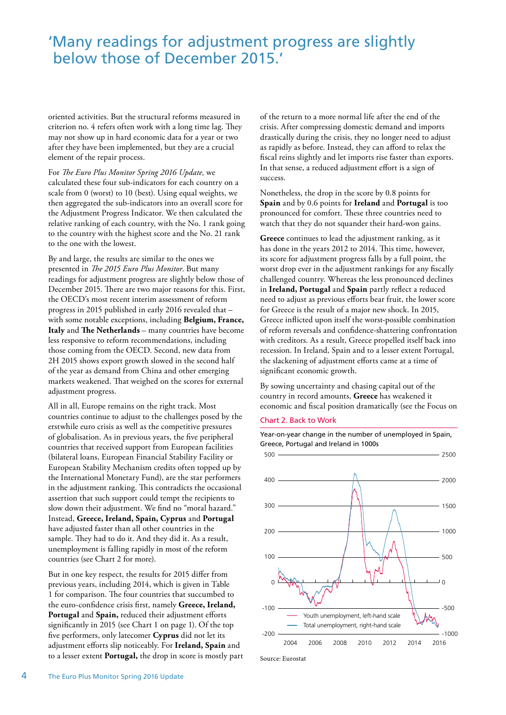### 'Many readings for adjustment progress are slightly below those of December 2015.'

oriented activities. But the structural reforms measured in criterion no. 4 refers often work with a long time lag. They may not show up in hard economic data for a year or two after they have been implemented, but they are a crucial element of the repair process.

For *Te Euro Plus Monitor Spring 2016 Update,* we calculated these four sub-indicators for each country on a scale from 0 (worst) to 10 (best). Using equal weights, we then aggregated the sub-indicators into an overall score for the Adjustment Progress Indicator. We then calculated the relative ranking of each country, with the No. 1 rank going to the country with the highest score and the No. 21 rank to the one with the lowest.

By and large, the results are similar to the ones we presented in *Te 2015 Euro Plus Monitor*. But many readings for adjustment progress are slightly below those of December 2015. There are two major reasons for this. First, the OECD's most recent interim assessment of reform progress in 2015 published in early 2016 revealed that – with some notable exceptions, including **Belgium, France, Italy** and **Te Netherlands** – many countries have become less responsive to reform recommendations, including those coming from the OECD. Second, new data from 2H 2015 shows export growth slowed in the second half of the year as demand from China and other emerging markets weakened. That weighed on the scores for external adjustment progress.

All in all, Europe remains on the right track. Most countries continue to adjust to the challenges posed by the erstwhile euro crisis as well as the competitive pressures of globalisation. As in previous years, the five peripheral countries that received support from European facilities (bilateral loans, European Financial Stability Facility or European Stability Mechanism credits often topped up by the International Monetary Fund), are the star performers in the adjustment ranking. This contradicts the occasional assertion that such support could tempt the recipients to slow down their adjustment. We find no "moral hazard." Instead, **Greece, Ireland, Spain, Cyprus** and **Portugal** have adjusted faster than all other countries in the sample. They had to do it. And they did it. As a result, unemployment is falling rapidly in most of the reform countries (see Chart 2 for more).

But in one key respect, the results for 2015 differ from previous years, including 2014, which is given in Table 1 for comparison. The four countries that succumbed to the euro-confidence crisis first, namely **Greece, Ireland, Portugal** and **Spain,** reduced their adjustment efforts significantly in 2015 (see Chart 1 on page 1). Of the top five performers, only latecomer **Cyprus** did not let its adjustment efforts slip noticeably. For **Ireland, Spain** and to a lesser extent **Portugal,** the drop in score is mostly part of the return to a more normal life after the end of the crisis. After compressing domestic demand and imports drastically during the crisis, they no longer need to adjust as rapidly as before. Instead, they can afford to relax the fiscal reins slightly and let imports rise faster than exports. In that sense, a reduced adjustment effort is a sign of success.

Nonetheless, the drop in the score by 0.8 points for **Spain** and by 0.6 points for **Ireland** and **Portugal** is too pronounced for comfort. These three countries need to watch that they do not squander their hard-won gains.

**Greece** continues to lead the adjustment ranking, as it has done in the years 2012 to 2014. This time, however, its score for adjustment progress falls by a full point, the worst drop ever in the adjustment rankings for any fiscally challenged country. Whereas the less pronounced declines in **Ireland, Portugal** and **Spain** partly reflect a reduced need to adjust as previous efforts bear fruit, the lower score for Greece is the result of a major new shock. In 2015, Greece inflicted upon itself the worst-possible combination of reform reversals and confidence-shattering confrontation with creditors. As a result, Greece propelled itself back into recession. In Ireland, Spain and to a lesser extent Portugal, the slackening of adjustment efforts came at a time of significant economic growth.

By sowing uncertainty and chasing capital out of the country in record amounts, **Greece** has weakened it economic and fiscal position dramatically (see the Focus on

#### Chart 2. Back to Work





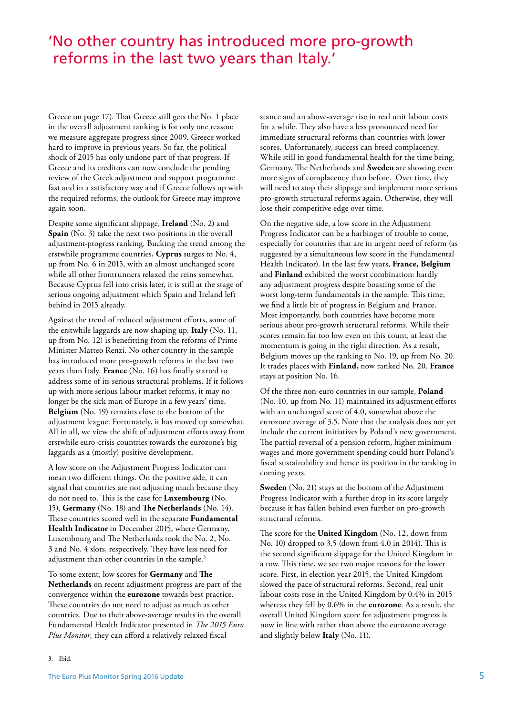### 'No other country has introduced more pro-growth reforms in the last two years than Italy.'

Greece on page 17). That Greece still gets the No. 1 place in the overall adjustment ranking is for only one reason: we measure aggregate progress since 2009. Greece worked hard to improve in previous years. So far, the political shock of 2015 has only undone part of that progress. If Greece and its creditors can now conclude the pending review of the Greek adjustment and support programme fast and in a satisfactory way and if Greece follows up with the required reforms, the outlook for Greece may improve again soon.

Despite some significant slippage, **Ireland** (No. 2) and **Spain** (No. 3) take the next two positions in the overall adjustment-progress ranking. Bucking the trend among the erstwhile programme countries, **Cyprus** surges to No. 4, up from No. 6 in 2015, with an almost unchanged score while all other frontrunners relaxed the reins somewhat. Because Cyprus fell into crisis later, it is still at the stage of serious ongoing adjustment which Spain and Ireland left behind in 2015 already.

Against the trend of reduced adjustment efforts, some of the erstwhile laggards are now shaping up. **Italy** (No. 11, up from No. 12) is benefitting from the reforms of Prime Minister Matteo Renzi. No other country in the sample has introduced more pro-growth reforms in the last two years than Italy. **France** (No. 16) has finally started to address some of its serious structural problems. If it follows up with more serious labour market reforms, it may no longer be the sick man of Europe in a few years' time. **Belgium** (No. 19) remains close to the bottom of the adjustment league. Fortunately, it has moved up somewhat. All in all, we view the shift of adjustment efforts away from erstwhile euro-crisis countries towards the eurozone's big laggards as a (mostly) positive development.

A low score on the Adjustment Progress Indicator can mean two different things. On the positive side, it can signal that countries are not adjusting much because they do not need to. Tis is the case for **Luxembourg** (No. 15), **Germany** (No. 18) and **Te Netherlands** (No. 14). These countries scored well in the separate **Fundamental** Health Indicator in December 2015, where Germany, Luxembourg and The Netherlands took the No. 2, No. 3 and No. 4 slots, respectively. They have less need for adjustment than other countries in the sample.<sup>3</sup>

To some extent, low scores for **Germany** and **Te Netherlands** on recent adjustment progress are part of the convergence within the **eurozone** towards best practice. These countries do not need to adjust as much as other countries. Due to their above-average results in the overall Fundamental Health Indicator presented in *The 2015 Euro Plus Monitor,* they can afford a relatively relaxed fiscal

stance and an above-average rise in real unit labour costs for a while. They also have a less pronounced need for immediate structural reforms than countries with lower scores. Unfortunately, success can breed complacency. While still in good fundamental health for the time being, Germany, The Netherlands and **Sweden** are showing even more signs of complacency than before. Over time, they will need to stop their slippage and implement more serious pro-growth structural reforms again. Otherwise, they will lose their competitive edge over time.

On the negative side, a low score in the Adjustment Progress Indicator can be a harbinger of trouble to come, especially for countries that are in urgent need of reform (as suggested by a simultaneous low score in the Fundamental Health Indicator). In the last few years, **France, Belgium**  and **Finland** exhibited the worst combination: hardly any adjustment progress despite boasting some of the worst long-term fundamentals in the sample. This time, we find a little bit of progress in Belgium and France. Most importantly, both countries have become more serious about pro-growth structural reforms. While their scores remain far too low even on this count, at least the momentum is going in the right direction. As a result, Belgium moves up the ranking to No. 19, up from No. 20. It trades places with **Finland,** now ranked No. 20. **France**  stays at position No. 16.

Of the three non-euro countries in our sample, **Poland**  (No. 10, up from No. 11) maintained its adjustment efforts with an unchanged score of 4.0, somewhat above the eurozone average of 3.5. Note that the analysis does not yet include the current initiatives by Poland's new government. The partial reversal of a pension reform, higher minimum wages and more government spending could hurt Poland's fiscal sustainability and hence its position in the ranking in coming years.

**Sweden** (No. 21) stays at the bottom of the Adjustment Progress Indicator with a further drop in its score largely because it has fallen behind even further on pro-growth structural reforms.

The score for the **United Kingdom** (No. 12, down from No. 10) dropped to  $3.5$  (down from  $4.0$  in 2014). This is the second significant slippage for the United Kingdom in a row. This time, we see two major reasons for the lower score. First, in election year 2015, the United Kingdom slowed the pace of structural reforms. Second, real unit labour costs rose in the United Kingdom by 0.4% in 2015 whereas they fell by 0.6% in the **eurozone**. As a result, the overall United Kingdom score for adjustment progress is now in line with rather than above the eurozone average and slightly below **Italy** (No. 11).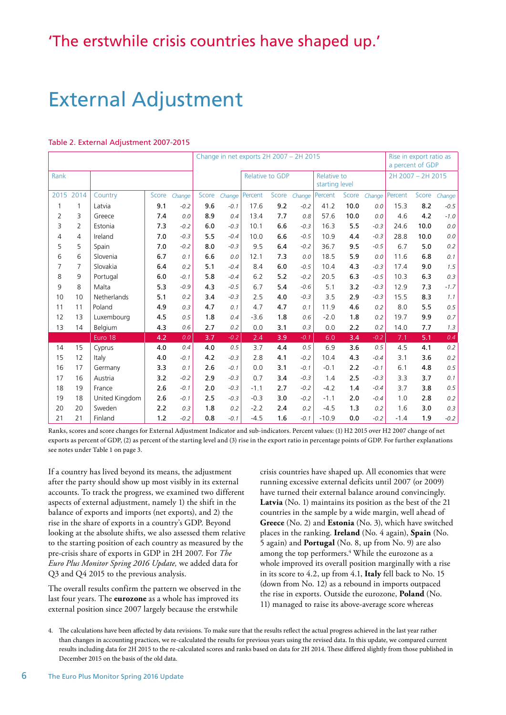## External Adjustment

#### Table 2. External Adjustment 2007-2015

|                |                |                |       |        | Change in net exports 2H 2007 - 2H 2015 |        |                        |       |        |                               |       |        |                   | Rise in export ratio as<br>a percent of GDP |        |  |  |
|----------------|----------------|----------------|-------|--------|-----------------------------------------|--------|------------------------|-------|--------|-------------------------------|-------|--------|-------------------|---------------------------------------------|--------|--|--|
| Rank           |                |                |       |        |                                         |        | <b>Relative to GDP</b> |       |        | Relative to<br>starting level |       |        | 2H 2007 - 2H 2015 |                                             |        |  |  |
|                | 2015 2014      | Country        | Score | Change | Score                                   | Change | Percent                | Score | Change | Percent                       | Score | Change | Percent           | Score                                       | Change |  |  |
| $\mathbf{1}$   | $\mathbf{1}$   | Latvia         | 9.1   | $-0.2$ | 9.6                                     | $-0.1$ | 17.6                   | 9.2   | $-0.2$ | 41.2                          | 10.0  | 0.0    | 15.3              | 8.2                                         | $-0.5$ |  |  |
| $\overline{2}$ | 3              | Greece         | 7.4   | 0.0    | 8.9                                     | 0.4    | 13.4                   | 7.7   | 0.8    | 57.6                          | 10.0  | 0.0    | 4.6               | 4.2                                         | $-1.0$ |  |  |
| 3              | $\overline{2}$ | Estonia        | 7.3   | $-0.2$ | 6.0                                     | $-0.3$ | 10.1                   | 6.6   | $-0.3$ | 16.3                          | 5.5   | $-0.3$ | 24.6              | 10.0                                        | 0.0    |  |  |
| 4              | 4              | Ireland        | 7.0   | $-0.3$ | 5.5                                     | $-0.4$ | 10.0                   | 6.6   | $-0.5$ | 10.9                          | 4.4   | $-0.3$ | 28.8              | 10.0                                        | 0.0    |  |  |
| 5              | 5              | Spain          | 7.0   | $-0.2$ | 8.0                                     | $-0.3$ | 9.5                    | 6.4   | $-0.2$ | 36.7                          | 9.5   | $-0.5$ | 6.7               | 5.0                                         | 0.2    |  |  |
| 6              | 6              | Slovenia       | 6.7   | 0.1    | 6.6                                     | 0.0    | 12.1                   | 7.3   | 0.0    | 18.5                          | 5.9   | 0.0    | 11.6              | 6.8                                         | 0.1    |  |  |
| 7              | 7              | Slovakia       | 6.4   | 0.2    | 5.1                                     | $-0.4$ | 8.4                    | 6.0   | $-0.5$ | 10.4                          | 4.3   | $-0.3$ | 17.4              | 9.0                                         | 1.5    |  |  |
| 8              | 9              | Portugal       | 6.0   | $-0.1$ | 5.8                                     | $-0.4$ | 6.2                    | 5.2   | $-0.2$ | 20.5                          | 6.3   | $-0.5$ | 10.3              | 6.3                                         | 0.3    |  |  |
| 9              | 8              | Malta          | 5.3   | $-0.9$ | 4.3                                     | $-0.5$ | 6.7                    | 5.4   | $-0.6$ | 5.1                           | 3.2   | $-0.3$ | 12.9              | 7.3                                         | $-1.7$ |  |  |
| 10             | 10             | Netherlands    | 5.1   | 0.2    | 3.4                                     | $-0.3$ | 2.5                    | 4.0   | $-0.3$ | 3.5                           | 2.9   | $-0.3$ | 15.5              | 8.3                                         | 1.1    |  |  |
| 11             | 11             | Poland         | 4.9   | 0.3    | 4.7                                     | 0.1    | 4.7                    | 4.7   | 0.1    | 11.9                          | 4.6   | 0.2    | 8.0               | 5.5                                         | 0.5    |  |  |
| 12             | 13             | Luxembourg     | 4.5   | 0.5    | 1.8                                     | 0.4    | $-3.6$                 | 1.8   | 0.6    | $-2.0$                        | 1.8   | 0.2    | 19.7              | 9.9                                         | 0.7    |  |  |
| 13             | 14             | Belgium        | 4.3   | 0.6    | 2.7                                     | 0.2    | 0.0                    | 3.1   | 0.3    | 0.0                           | 2.2   | 0.2    | 14.0              | 7.7                                         | 1.3    |  |  |
|                |                | Euro 18        | 4.2   | 0.0    | 3.7                                     | $-0.2$ | 2.4                    | 3.9   | $-0.1$ | 6.0                           | 3.4   | $-0.2$ | 7.1               | 5.1                                         | 0.4    |  |  |
| 14             | 15             | Cyprus         | 4.0   | 0.4    | 4.0                                     | 0.5    | 3.7                    | 4.4   | 0.5    | 6.9                           | 3.6   | 0.5    | 4.5               | 4.1                                         | 0.2    |  |  |
| 15             | 12             | Italy          | 4.0   | $-0.1$ | 4.2                                     | $-0.3$ | 2.8                    | 4.1   | $-0.2$ | 10.4                          | 4.3   | $-0.4$ | 3.1               | 3.6                                         | 0.2    |  |  |
| 16             | 17             | Germany        | 3.3   | 0.1    | 2.6                                     | $-0.1$ | 0.0                    | 3.1   | $-0.1$ | $-0.1$                        | 2.2   | $-0.1$ | 6.1               | 4.8                                         | 0.5    |  |  |
| 17             | 16             | Austria        | 3.2   | $-0.2$ | 2.9                                     | $-0.3$ | 0.7                    | 3.4   | $-0.3$ | 1.4                           | 2.5   | $-0.3$ | 3.3               | 3.7                                         | 0.1    |  |  |
| 18             | 19             | France         | 2.6   | $-0.1$ | 2.0                                     | $-0.3$ | $-1.1$                 | 2.7   | $-0.2$ | $-4.2$                        | 1.4   | $-0.4$ | 3.7               | 3.8                                         | 0.5    |  |  |
| 19             | 18             | United Kingdom | 2.6   | $-0.1$ | 2.5                                     | $-0.3$ | $-0.3$                 | 3.0   | $-0.2$ | $-1.1$                        | 2.0   | $-0.4$ | 1.0               | 2.8                                         | 0.2    |  |  |
| 20             | 20             | Sweden         | 2.2   | 0.3    | 1.8                                     | 0.2    | $-2.2$                 | 2.4   | 0.2    | $-4.5$                        | 1.3   | 0.2    | 1.6               | 3.0                                         | 0.3    |  |  |
| 21             | 21             | Finland        | 1.2   | $-0.2$ | 0.8                                     | $-0.1$ | $-4.5$                 | 1.6   | $-0.1$ | $-10.9$                       | 0.0   | $-0.2$ | $-1.4$            | 1.9                                         | $-0.2$ |  |  |

Ranks, scores and score changes for External Adjustment Indicator and sub-indicators. Percent values: (1) H2 2015 over H2 2007 change of net exports as percent of GDP, (2) as percent of the starting level and (3) rise in the export ratio in percentage points of GDP. For further explanations see notes under Table 1 on page 3.

If a country has lived beyond its means, the adjustment after the party should show up most visibly in its external accounts. To track the progress, we examined two different aspects of external adjustment, namely 1) the shift in the balance of exports and imports (net exports), and 2) the rise in the share of exports in a country's GDP. Beyond looking at the absolute shifts, we also assessed them relative to the starting position of each country as measured by the pre-crisis share of exports in GDP in 2H 2007. For *The Euro Plus Monitor Spring 2016 Update,* we added data for Q3 and Q4 2015 to the previous analysis.

The overall results confirm the pattern we observed in the last four years. The **eurozone** as a whole has improved its external position since 2007 largely because the erstwhile

crisis countries have shaped up. All economies that were running excessive external deficits until 2007 (or 2009) have turned their external balance around convincingly. **Latvia** (No. 1) maintains its position as the best of the 21 countries in the sample by a wide margin, well ahead of **Greece** (No. 2) and **Estonia** (No. 3), which have switched places in the ranking. **Ireland** (No. 4 again), **Spain** (No. 5 again) and **Portugal** (No. 8, up from No. 9) are also among the top performers.<sup>4</sup> While the eurozone as a whole improved its overall position marginally with a rise in its score to 4.2, up from 4.1, **Italy** fell back to No. 15 (down from No. 12) as a rebound in imports outpaced the rise in exports. Outside the eurozone, **Poland** (No. 11) managed to raise its above-average score whereas

4. The calculations have been affected by data revisions. To make sure that the results reflect the actual progress achieved in the last year rather than changes in accounting practices, we re-calculated the results for previous years using the revised data. In this update, we compared current results including data for 2H 2015 to the re-calculated scores and ranks based on data for 2H 2014. Tese difered slightly from those published in December 2015 on the basis of the old data.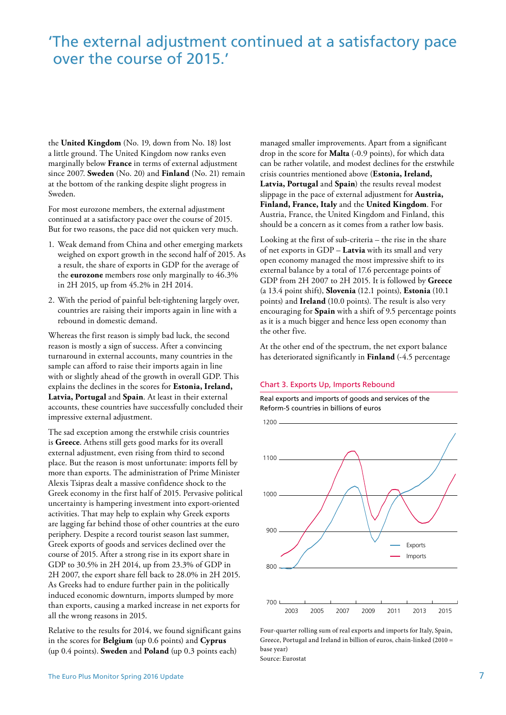### 'The external adjustment continued at a satisfactory pace over the course of 2015.'

the **United Kingdom** (No. 19, down from No. 18) lost a little ground. The United Kingdom now ranks even marginally below **France** in terms of external adjustment since 2007. **Sweden** (No. 20) and **Finland** (No. 21) remain at the bottom of the ranking despite slight progress in Sweden.

For most eurozone members, the external adjustment continued at a satisfactory pace over the course of 2015. But for two reasons, the pace did not quicken very much.

- 1. Weak demand from China and other emerging markets weighed on export growth in the second half of 2015. As a result, the share of exports in GDP for the average of the **eurozone** members rose only marginally to 46.3% in 2H 2015, up from 45.2% in 2H 2014.
- 2. With the period of painful belt-tightening largely over, countries are raising their imports again in line with a rebound in domestic demand.

Whereas the first reason is simply bad luck, the second reason is mostly a sign of success. After a convincing turnaround in external accounts, many countries in the sample can afford to raise their imports again in line with or slightly ahead of the growth in overall GDP. This explains the declines in the scores for **Estonia, Ireland, Latvia, Portugal** and **Spain**. At least in their external accounts, these countries have successfully concluded their impressive external adjustment.

The sad exception among the erstwhile crisis countries is **Greece**. Athens still gets good marks for its overall external adjustment, even rising from third to second place. But the reason is most unfortunate: imports fell by more than exports. The administration of Prime Minister Alexis Tsipras dealt a massive confidence shock to the Greek economy in the first half of 2015. Pervasive political uncertainty is hampering investment into export-oriented activities. That may help to explain why Greek exports are lagging far behind those of other countries at the euro periphery. Despite a record tourist season last summer, Greek exports of goods and services declined over the course of 2015. After a strong rise in its export share in GDP to 30.5% in 2H 2014, up from 23.3% of GDP in 2H 2007, the export share fell back to 28.0% in 2H 2015. As Greeks had to endure further pain in the politically induced economic downturn, imports slumped by more than exports, causing a marked increase in net exports for all the wrong reasons in 2015.

Relative to the results for 2014, we found significant gains in the scores for **Belgium** (up 0.6 points) and **Cyprus**  (up 0.4 points). **Sweden** and **Poland** (up 0.3 points each)

managed smaller improvements. Apart from a significant drop in the score for **Malta** (-0.9 points), for which data can be rather volatile, and modest declines for the erstwhile crisis countries mentioned above (**Estonia, Ireland, Latvia, Portugal** and **Spain**) the results reveal modest slippage in the pace of external adjustment for **Austria, Finland, France, Italy** and the **United Kingdom**. For Austria, France, the United Kingdom and Finland, this should be a concern as it comes from a rather low basis.

Looking at the first of sub-criteria – the rise in the share of net exports in GDP – **Latvia** with its small and very open economy managed the most impressive shift to its external balance by a total of 17.6 percentage points of GDP from 2H 2007 to 2H 2015. It is followed by **Greece**  (a 13.4 point shift), **Slovenia** (12.1 points), **Estonia** (10.1 points) and **Ireland** (10.0 points). The result is also very encouraging for **Spain** with a shift of 9.5 percentage points as it is a much bigger and hence less open economy than the other five.

At the other end of the spectrum, the net export balance has deteriorated significantly in **Finland** (-4.5 percentage

#### Chart 3. Exports Up, Imports Rebound

Real exports and imports of goods and services of the Reform-5 countries in billions of euros



Four-quarter rolling sum of real exports and imports for Italy, Spain, Greece, Portugal and Ireland in billion of euros, chain-linked (2010 = base year) Source: Eurostat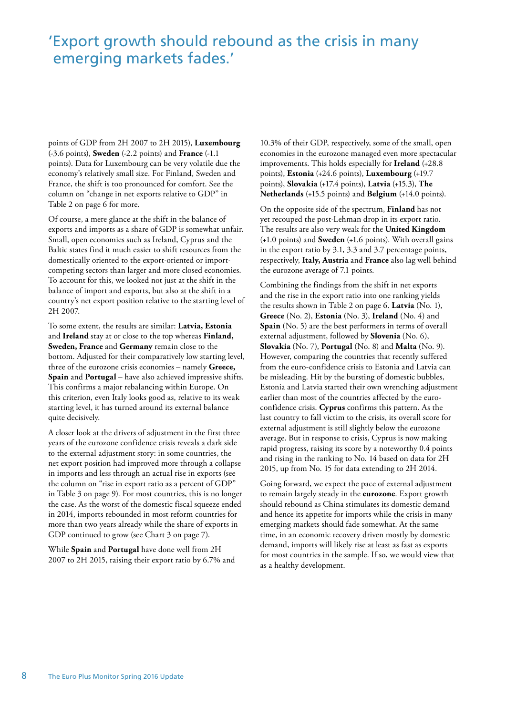### 'Export growth should rebound as the crisis in many emerging markets fades.'

points of GDP from 2H 2007 to 2H 2015), **Luxembourg**  (-3.6 points), **Sweden** (-2.2 points) and **France** (-1.1 points). Data for Luxembourg can be very volatile due the economy's relatively small size. For Finland, Sweden and France, the shift is too pronounced for comfort. See the column on "change in net exports relative to GDP" in Table 2 on page 6 for more.

Of course, a mere glance at the shift in the balance of exports and imports as a share of GDP is somewhat unfair. Small, open economies such as Ireland, Cyprus and the Baltic states find it much easier to shift resources from the domestically oriented to the export-oriented or importcompeting sectors than larger and more closed economies. To account for this, we looked not just at the shift in the balance of import and exports, but also at the shift in a country's net export position relative to the starting level of 2H 2007.

To some extent, the results are similar: **Latvia, Estonia**  and **Ireland** stay at or close to the top whereas **Finland, Sweden, France** and **Germany** remain close to the bottom. Adjusted for their comparatively low starting level, three of the eurozone crisis economies – namely **Greece, Spain** and **Portugal** – have also achieved impressive shifts. This confirms a major rebalancing within Europe. On this criterion, even Italy looks good as, relative to its weak starting level, it has turned around its external balance quite decisively.

A closer look at the drivers of adjustment in the first three years of the eurozone confidence crisis reveals a dark side to the external adjustment story: in some countries, the net export position had improved more through a collapse in imports and less through an actual rise in exports (see the column on "rise in export ratio as a percent of GDP" in Table 3 on page 9). For most countries, this is no longer the case. As the worst of the domestic fiscal squeeze ended in 2014, imports rebounded in most reform countries for more than two years already while the share of exports in GDP continued to grow (see Chart 3 on page 7).

While **Spain** and **Portugal** have done well from 2H 2007 to 2H 2015, raising their export ratio by 6.7% and

10.3% of their GDP, respectively, some of the small, open economies in the eurozone managed even more spectacular improvements. This holds especially for **Ireland** (+28.8 points), **Estonia** (+24.6 points), **Luxembourg** (+19.7 points), **Slovakia** (+17.4 points), **Latvia** (+15.3), **The Netherlands** (+15.5 points) and **Belgium** (+14.0 points).

On the opposite side of the spectrum, **Finland** has not yet recouped the post-Lehman drop in its export ratio. The results are also very weak for the **United Kingdom**  (+1.0 points) and **Sweden** (+1.6 points). With overall gains in the export ratio by 3.1, 3.3 and 3.7 percentage points, respectively, **Italy, Austria** and **France** also lag well behind the eurozone average of 7.1 points.

Combining the findings from the shift in net exports and the rise in the export ratio into one ranking yields the results shown in Table 2 on page 6. **Latvia** (No. 1), **Greece** (No. 2), **Estonia** (No. 3), **Ireland** (No. 4) and **Spain** (No. 5) are the best performers in terms of overall external adjustment, followed by **Slovenia** (No. 6), **Slovakia** (No. 7), **Portugal** (No. 8) and **Malta** (No. 9). However, comparing the countries that recently suffered from the euro-confidence crisis to Estonia and Latvia can be misleading. Hit by the bursting of domestic bubbles, Estonia and Latvia started their own wrenching adjustment earlier than most of the countries affected by the euroconfidence crisis. **Cyprus** confirms this pattern. As the last country to fall victim to the crisis, its overall score for external adjustment is still slightly below the eurozone average. But in response to crisis, Cyprus is now making rapid progress, raising its score by a noteworthy 0.4 points and rising in the ranking to No. 14 based on data for 2H 2015, up from No. 15 for data extending to 2H 2014.

Going forward, we expect the pace of external adjustment to remain largely steady in the **eurozone**. Export growth should rebound as China stimulates its domestic demand and hence its appetite for imports while the crisis in many emerging markets should fade somewhat. At the same time, in an economic recovery driven mostly by domestic demand, imports will likely rise at least as fast as exports for most countries in the sample. If so, we would view that as a healthy development.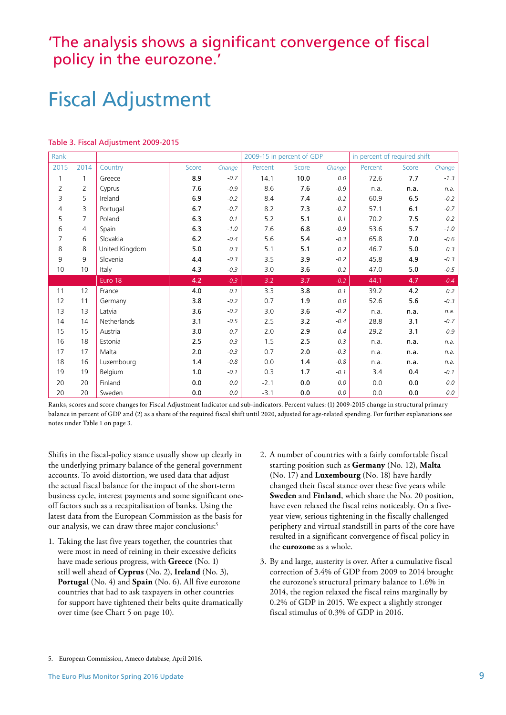### 'The analysis shows a significant convergence of fiscal policy in the eurozone.'

## Fiscal Adjustment

| Rank |                |                |       |        | 2009-15 in percent of GDP |       |        | in percent of required shift |       |         |
|------|----------------|----------------|-------|--------|---------------------------|-------|--------|------------------------------|-------|---------|
| 2015 | 2014           | Country        | Score | Change | Percent                   | Score | Change | Percent                      | Score | Change  |
| 1    | 1              | Greece         | 8.9   | $-0.7$ | 14.1                      | 10.0  | 0.0    | 72.6                         | 7.7   | $-1.3$  |
| 2    | 2              | Cyprus         | 7.6   | $-0.9$ | 8.6                       | 7.6   | $-0.9$ | n.a.                         | n.a.  | n.a.    |
| 3    | 5              | Ireland        | 6.9   | $-0.2$ | 8.4                       | 7.4   | $-0.2$ | 60.9                         | 6.5   | $-0.2$  |
| 4    | 3              | Portugal       | 6.7   | $-0.7$ | 8.2                       | 7.3   | $-0.7$ | 57.1                         | 6.1   | $-0.7$  |
| 5    | $\overline{7}$ | Poland         | 6.3   | 0.1    | 5.2                       | 5.1   | 0.1    | 70.2                         | 7.5   | 0.2     |
| 6    | 4              | Spain          | 6.3   | $-1.0$ | 7.6                       | 6.8   | $-0.9$ | 53.6                         | 5.7   | $-1.0$  |
| 7    | 6              | Slovakia       | 6.2   | $-0.4$ | 5.6                       | 5.4   | $-0.3$ | 65.8                         | 7.0   | $-0.6$  |
| 8    | 8              | United Kingdom | 5.0   | 0.3    | 5.1                       | 5.1   | 0.2    | 46.7                         | 5.0   | 0.3     |
| 9    | 9              | Slovenia       | 4.4   | $-0.3$ | 3.5                       | 3.9   | $-0.2$ | 45.8                         | 4.9   | $-0.3$  |
| 10   | 10             | Italy          | 4.3   | $-0.3$ | 3.0                       | 3.6   | $-0.2$ | 47.0                         | 5.0   | $-0.5$  |
|      |                | Euro 18        | 4.2   | $-0.3$ | 3.2                       | 3.7   | $-0.2$ | 44.1                         | 4.7   | $-0.4$  |
| 11   | 12             | France         | 4.0   | 0.1    | 3.3                       | 3.8   | 0.1    | 39.2                         | 4.2   | $0.2\,$ |
| 12   | 11             | Germany        | 3.8   | $-0.2$ | 0.7                       | 1.9   | 0.0    | 52.6                         | 5.6   | $-0.3$  |
| 13   | 13             | Latvia         | 3.6   | $-0.2$ | 3.0                       | 3.6   | $-0.2$ | n.a.                         | n.a.  | n.a.    |
| 14   | 14             | Netherlands    | 3.1   | $-0.5$ | 2.5                       | 3.2   | $-0.4$ | 28.8                         | 3.1   | $-0.7$  |
| 15   | 15             | Austria        | 3.0   | 0.7    | 2.0                       | 2.9   | 0.4    | 29.2                         | 3.1   | 0.9     |
| 16   | 18             | Estonia        | 2.5   | 0.3    | 1.5                       | 2.5   | 0.3    | n.a.                         | n.a.  | n.a.    |
| 17   | 17             | Malta          | 2.0   | $-0.3$ | 0.7                       | 2.0   | $-0.3$ | n.a.                         | n.a.  | n.a.    |
| 18   | 16             | Luxembourg     | 1.4   | $-0.8$ | 0.0                       | 1.4   | $-0.8$ | n.a.                         | n.a.  | n.a.    |
| 19   | 19             | Belgium        | 1.0   | $-0.1$ | 0.3                       | 1.7   | $-0.1$ | 3.4                          | 0.4   | $-0.1$  |
| 20   | 20             | Finland        | 0.0   | 0.0    | $-2.1$                    | 0.0   | 0.0    | 0.0                          | 0.0   | 0.0     |
|      |                |                |       |        |                           |       |        |                              |       |         |

#### Table 3. Fiscal Adjustment 2009-2015

Ranks, scores and score changes for Fiscal Adjustment Indicator and sub-indicators. Percent values: (1) 2009-2015 change in structural primary balance in percent of GDP and (2) as a share of the required fiscal shift until 2020, adjusted for age-related spending. For further explanations see notes under Table 1 on page 3.

Shifts in the fiscal-policy stance usually show up clearly in the underlying primary balance of the general government accounts. To avoid distortion, we used data that adjust the actual fiscal balance for the impact of the short-term business cycle, interest payments and some significant oneoff factors such as a recapitalisation of banks. Using the latest data from the European Commission as the basis for our analysis, we can draw three major conclusions:<sup>5</sup>

- 1. Taking the last five years together, the countries that were most in need of reining in their excessive deficits have made serious progress, with **Greece** (No. 1) still well ahead of **Cyprus** (No. 2), **Ireland** (No. 3), **Portugal** (No. 4) and **Spain** (No. 6). All five eurozone countries that had to ask taxpayers in other countries for support have tightened their belts quite dramatically over time (see Chart 5 on page 10).
- 2. A number of countries with a fairly comfortable fiscal starting position such as **Germany** (No. 12), **Malta**  (No. 17) and **Luxembourg** (No. 18) have hardly changed their fiscal stance over these five years while **Sweden** and **Finland**, which share the No. 20 position, have even relaxed the fiscal reins noticeably. On a fiveyear view, serious tightening in the fiscally challenged periphery and virtual standstill in parts of the core have resulted in a significant convergence of fiscal policy in the **eurozone** as a whole.
- 3. By and large, austerity is over. After a cumulative fiscal correction of 3.4% of GDP from 2009 to 2014 brought the eurozone's structural primary balance to 1.6% in 2014, the region relaxed the fiscal reins marginally by 0.2% of GDP in 2015. We expect a slightly stronger fiscal stimulus of 0.3% of GDP in 2016.

<sup>5.</sup> European Commission, Ameco database, April 2016.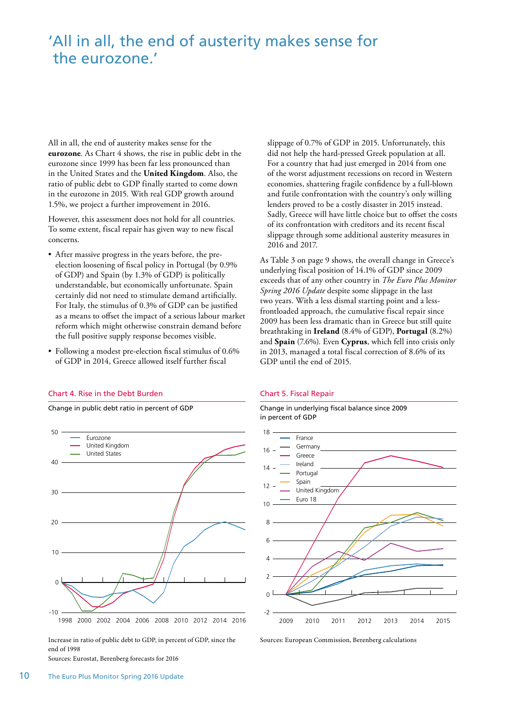### 'All in all, the end of austerity makes sense for the eurozone.'

All in all, the end of austerity makes sense for the eurozone. As Chart 4 shows, the rise in public debt in the eurozone since 1999 has been far less pronounced than in the United States and the **United Kingdom**. Also, the ratio of public debt to GDP finally started to come down in the eurozone in 2015. With real GDP growth around 1.5%, we project a further improvement in 2016.

However, this assessment does not hold for all countries. To some extent, fiscal repair has given way to new fiscal concerns.

- After massive progress in the years before, the preelection loosening of fiscal policy in Portugal (by 0.9% of GDP) and Spain (by 1.3% of GDP) is politically understandable, but economically unfortunate. Spain certainly did not need to stimulate demand artificially. For Italy, the stimulus of 0.3% of GDP can be justified as a means to offset the impact of a serious labour market reform which might otherwise constrain demand before the full positive supply response becomes visible.
- Following a modest pre-election fiscal stimulus of 0.6% of GDP in 2014, Greece allowed itself further fiscal

#### Chart 4. Rise in the Debt Burden

Change in public debt ratio in percent of GDP



Increase in ratio of public debt to GDP, in percent of GDP, since the end of 1998

Sources: Eurostat, Berenberg forecasts for 2016

slippage of 0.7% of GDP in 2015. Unfortunately, this did not help the hard-pressed Greek population at all. For a country that had just emerged in 2014 from one of the worst adjustment recessions on record in Western economies, shattering fragile confidence by a full-blown and futile confrontation with the country's only willing lenders proved to be a costly disaster in 2015 instead. Sadly, Greece will have little choice but to offset the costs of its confrontation with creditors and its recent fiscal slippage through some additional austerity measures in 2016 and 2017.

As Table 3 on page 9 shows, the overall change in Greece's underlying fiscal position of 14.1% of GDP since 2009 exceeds that of any other country in *The Euro Plus Monitor Spring 2016 Update* despite some slippage in the last two years. With a less dismal starting point and a lessfrontloaded approach, the cumulative fiscal repair since 2009 has been less dramatic than in Greece but still quite breathtaking in **Ireland** (8.4% of GDP), **Portugal** (8.2%) and **Spain** (7.6%). Even **Cyprus**, which fell into crisis only in 2013, managed a total fiscal correction of 8.6% of its GDP until the end of 2015.

#### Chart 5. Fiscal Repair

Change in underlying fiscal balance since 2009 in percent of GDP



Sources: European Commission, Berenberg calculations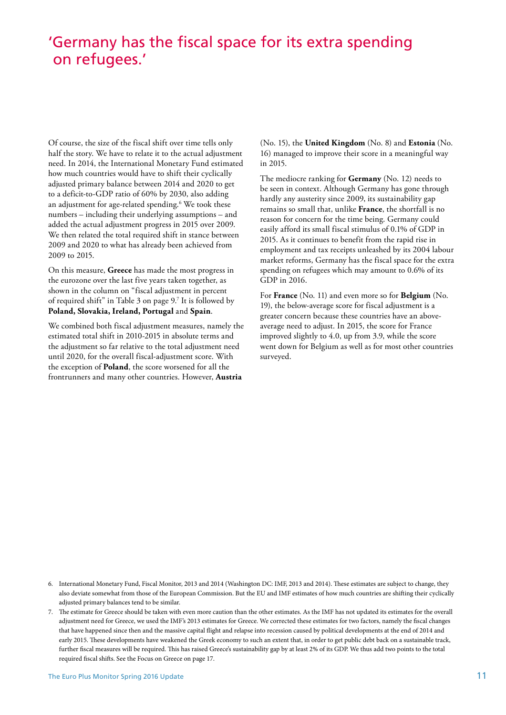### 'Germany has the fiscal space for its extra spending on refugees.'

Of course, the size of the fiscal shift over time tells only half the story. We have to relate it to the actual adjustment need. In 2014, the International Monetary Fund estimated how much countries would have to shift their cyclically adjusted primary balance between 2014 and 2020 to get to a deficit-to-GDP ratio of 60% by 2030, also adding an adjustment for age-related spending.6 We took these numbers – including their underlying assumptions – and added the actual adjustment progress in 2015 over 2009. We then related the total required shift in stance between 2009 and 2020 to what has already been achieved from 2009 to 2015.

On this measure, **Greece** has made the most progress in the eurozone over the last five years taken together, as shown in the column on "fiscal adjustment in percent of required shift" in Table 3 on page 9.7 It is followed by **Poland, Slovakia, Ireland, Portugal** and **Spain**.

We combined both fiscal adjustment measures, namely the estimated total shift in 2010-2015 in absolute terms and the adjustment so far relative to the total adjustment need until 2020, for the overall fiscal-adjustment score. With the exception of **Poland**, the score worsened for all the frontrunners and many other countries. However, **Austria** 

(No. 15), the **United Kingdom** (No. 8) and **Estonia** (No. 16) managed to improve their score in a meaningful way in 2015.

The mediocre ranking for **Germany** (No. 12) needs to be seen in context. Although Germany has gone through hardly any austerity since 2009, its sustainability gap remains so small that, unlike **France**, the shortfall is no reason for concern for the time being. Germany could easily afford its small fiscal stimulus of 0.1% of GDP in 2015. As it continues to benefit from the rapid rise in employment and tax receipts unleashed by its 2004 labour market reforms, Germany has the fiscal space for the extra spending on refugees which may amount to 0.6% of its GDP in 2016.

For **France** (No. 11) and even more so for **Belgium** (No. 19), the below-average score for fiscal adjustment is a greater concern because these countries have an aboveaverage need to adjust. In 2015, the score for France improved slightly to 4.0, up from 3.9, while the score went down for Belgium as well as for most other countries surveyed.

- 6. International Monetary Fund, Fiscal Monitor, 2013 and 2014 (Washington DC: IMF, 2013 and 2014). These estimates are subject to change, they also deviate somewhat from those of the European Commission. But the EU and IMF estimates of how much countries are shifing their cyclically adjusted primary balances tend to be similar.
- 7. The estimate for Greece should be taken with even more caution than the other estimates. As the IMF has not updated its estimates for the overall adjustment need for Greece, we used the IMF's 2013 estimates for Greece. We corrected these estimates for two factors, namely the fscal changes that have happened since then and the massive capital fight and relapse into recession caused by political developments at the end of 2014 and early 2015. These developments have weakened the Greek economy to such an extent that, in order to get public debt back on a sustainable track, further fscal measures will be required. Tis has raised Greece's sustainability gap by at least 2% of its GDP. We thus add two points to the total required fscal shifs. See the Focus on Greece on page 17.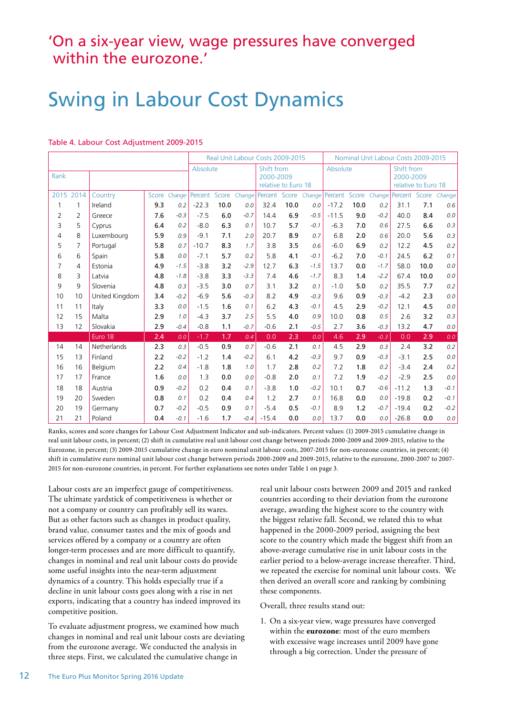### 'On a six-year view, wage pressures have converged within the eurozone.'

## Swing in Labour Cost Dynamics

#### Table 4. Labour Cost Adjustment 2009-2015

|      |           |                |          |        |         | Real Unit Labour Costs 2009-2015 |                     | Nominal Unit Labour Costs 2009-2015 |          |        |         |                                                |              |               |      |        |
|------|-----------|----------------|----------|--------|---------|----------------------------------|---------------------|-------------------------------------|----------|--------|---------|------------------------------------------------|--------------|---------------|------|--------|
| Rank |           |                | Absolute |        |         | Shift from<br>2000-2009          | relative to Euro 18 |                                     | Absolute |        |         | Shift from<br>2000-2009<br>relative to Euro 18 |              |               |      |        |
|      | 2015 2014 | Country        | Score    | Change | Percent | Score                            | Change              | Percent Score                       |          | Change | Percent |                                                | Score Change | Percent Score |      | Change |
| 1    | 1         | Ireland        | 9.3      | 0.2    | $-22.3$ | 10.0                             | 0.0                 | 32.4                                | 10.0     | 0.0    | $-17.2$ | 10.0                                           | 0.2          | 31.1          | 7.1  | 0.6    |
| 2    | 2         | Greece         | 7.6      | $-0.3$ | $-7.5$  | 6.0                              | $-0.7$              | 14.4                                | 6.9      | $-0.5$ | $-11.5$ | 9.0                                            | $-0.2$       | 40.0          | 8.4  | 0.0    |
| 3    | 5         | Cyprus         | 6.4      | 0.2    | $-8.0$  | 6.3                              | 0.1                 | 10.7                                | 5.7      | $-0.1$ | $-6.3$  | 7.0                                            | 0.6          | 27.5          | 6.6  | 0.3    |
| 4    | 8         | Luxembourg     | 5.9      | 0.9    | $-9.1$  | 7.1                              | 2.0                 | 20.7                                | 8.9      | 0.7    | 6.8     | 2.0                                            | 0.6          | 20.0          | 5.6  | 0.3    |
| 5    | 7         | Portugal       | 5.8      | 0.7    | $-10.7$ | 8.3                              | 1.7                 | 3.8                                 | 3.5      | 0.6    | $-6.0$  | 6.9                                            | 0.2          | 12.2          | 4.5  | 0.2    |
| 6    | 6         | Spain          | 5.8      | 0.0    | $-7.1$  | 5.7                              | 0.2                 | 5.8                                 | 4.1      | $-0.1$ | $-6.2$  | 7.0                                            | $-0.1$       | 24.5          | 6.2  | 0.1    |
| 7    | 4         | Estonia        | 4.9      | $-1.5$ | $-3.8$  | 3.2                              | $-2.9$              | 12.7                                | 6.3      | $-1.5$ | 13.7    | 0.0                                            | $-1.7$       | 58.0          | 10.0 | 0.0    |
| 8    | 3         | Latvia         | 4.8      | $-1.8$ | $-3.8$  | 3.3                              | $-3.3$              | 7.4                                 | 4.6      | $-1.7$ | 8.3     | 1.4                                            | $-2.2$       | 67.4          | 10.0 | 0.0    |
| 9    | 9         | Slovenia       | 4.8      | 0.3    | $-3.5$  | 3.0                              | 0.7                 | 3.1                                 | 3.2      | 0.1    | $-1.0$  | 5.0                                            | 0.2          | 35.5          | 7.7  | 0.2    |
| 10   | 10        | United Kingdom | 3.4      | $-0.2$ | $-6.9$  | 5.6                              | $-0.3$              | 8.2                                 | 4.9      | $-0.3$ | 9.6     | 0.9                                            | $-0.3$       | $-4.2$        | 2.3  | 0.0    |
| 11   | 11        | Italy          | 3.3      | 0.0    | $-1.5$  | 1.6                              | 0.1                 | 6.2                                 | 4.3      | $-0.1$ | 4.5     | 2.9                                            | $-0.2$       | 12.1          | 4.5  | 0.0    |
| 12   | 15        | Malta          | 2.9      | 1.0    | $-4.3$  | 3.7                              | 2.5                 | 5.5                                 | 4.0      | 0.9    | 10.0    | 0.8                                            | 0.5          | 2.6           | 3.2  | 0.3    |
| 13   | 12        | Slovakia       | 2.9      | $-0.4$ | $-0.8$  | 1.1                              | $-0.7$              | $-0.6$                              | 2.1      | $-0.5$ | 2.7     | 3.6                                            | $-0.3$       | 13.2          | 4.7  | 0.0    |
|      |           | Euro 18        | 2.4      | 0.0    | $-1.7$  | 1.7                              | 0.4                 | 0.0                                 | 2.3      | 0.0    | 4.6     | 2.9                                            | $-0.3$       | 0.0           | 2.9  | 0.0    |
| 14   | 14        | Netherlands    | 2.3      | 0.3    | $-0.5$  | 0.9                              | 0.7                 | $-0.6$                              | 2.1      | 0.1    | 4.5     | 2.9                                            | 0.3          | 2.4           | 3.2  | 0.2    |
| 15   | 13        | Finland        | 2.2      | $-0.2$ | $-1.2$  | 1.4                              | $-0.2$              | 6.1                                 | 4.2      | $-0.3$ | 9.7     | 0.9                                            | $-0.3$       | $-3.1$        | 2.5  | 0.0    |
| 16   | 16        | Belgium        | 2.2      | 0.4    | $-1.8$  | 1.8                              | 1.0                 | 1.7                                 | 2.8      | 0.2    | 7.2     | 1.8                                            | 0.2          | $-3.4$        | 2.4  | 0.2    |
| 17   | 17        | France         | 1.6      | 0.0    | 1.3     | 0.0                              | 0.0                 | $-0.8$                              | 2.0      | 0.1    | 7.2     | 1.9                                            | $-0.2$       | $-2.9$        | 2.5  | 0.0    |
| 18   | 18        | Austria        | 0.9      | $-0.2$ | 0.2     | 0.4                              | 0.1                 | $-3.8$                              | 1.0      | $-0.2$ | 10.1    | 0.7                                            | $-0.6$       | $-11.2$       | 1.3  | $-0.1$ |
| 19   | 20        | Sweden         | 0.8      | 0.1    | 0.2     | 0.4                              | 0.4                 | 1.2                                 | 2.7      | 0.1    | 16.8    | 0.0                                            | 0.0          | $-19.8$       | 0.2  | $-0.1$ |
| 20   | 19        | Germany        | 0.7      | $-0.2$ | $-0.5$  | 0.9                              | 0.1                 | $-5.4$                              | 0.5      | $-0.1$ | 8.9     | 1.2                                            | $-0.7$       | $-19.4$       | 0.2  | $-0.2$ |
| 21   | 21        | Poland         | 0.4      | $-0.1$ | $-1.6$  | 1.7                              | $-0.4$              | $-15.4$                             | 0.0      | 0.0    | 13.7    | 0.0                                            | 0.0          | $-26.8$       | 0.0  | 0.0    |

Ranks, scores and score changes for Labour Cost Adjustment Indicator and sub-indicators. Percent values: (1) 2009-2015 cumulative change in real unit labour costs, in percent; (2) shift in cumulative real unit labour cost change between periods 2000-2009 and 2009-2015, relative to the Eurozone, in percent; (3) 2009-2015 cumulative change in euro nominal unit labour costs, 2007-2015 for non-eurozone countries, in percent; (4) shift in cumulative euro nominal unit labour cost change between periods 2000-2009 and 2009-2015, relative to the eurozone, 2000-2007 to 2007- 2015 for non-eurozone countries, in percent. For further explanations see notes under Table 1 on page 3.

Labour costs are an imperfect gauge of competitiveness. The ultimate yardstick of competitiveness is whether or not a company or country can profitably sell its wares. But as other factors such as changes in product quality, brand value, consumer tastes and the mix of goods and services offered by a company or a country are often longer-term processes and are more difficult to quantify, changes in nominal and real unit labour costs do provide some useful insights into the near-term adjustment dynamics of a country. This holds especially true if a decline in unit labour costs goes along with a rise in net exports, indicating that a country has indeed improved its competitive position.

To evaluate adjustment progress, we examined how much changes in nominal and real unit labour costs are deviating from the eurozone average. We conducted the analysis in three steps. First, we calculated the cumulative change in

real unit labour costs between 2009 and 2015 and ranked countries according to their deviation from the eurozone average, awarding the highest score to the country with the biggest relative fall. Second, we related this to what happened in the 2000-2009 period, assigning the best score to the country which made the biggest shift from an above-average cumulative rise in unit labour costs in the earlier period to a below-average increase thereafter. Third, we repeated the exercise for nominal unit labour costs. We then derived an overall score and ranking by combining these components.

Overall, three results stand out:

1. On a six-year view, wage pressures have converged within the **eurozone**: most of the euro members with excessive wage increases until 2009 have gone through a big correction. Under the pressure of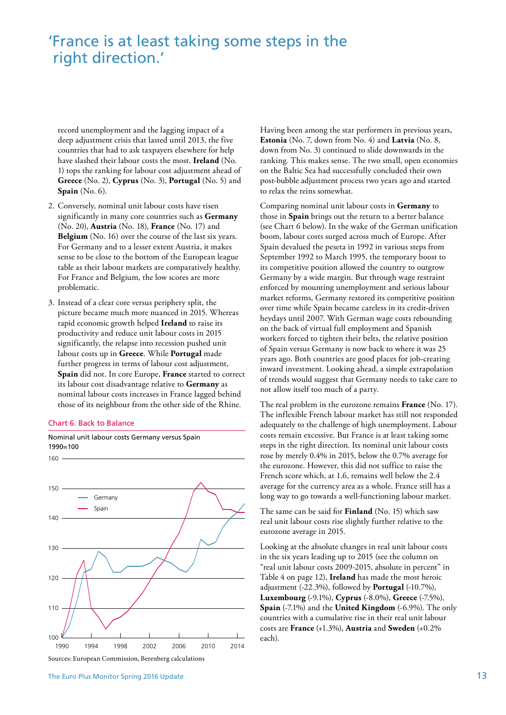### 'France is at least taking some steps in the right direction.'

record unemployment and the lagging impact of a deep adjustment crisis that lasted until 2013, the five countries that had to ask taxpayers elsewhere for help have slashed their labour costs the most. **Ireland** (No. 1) tops the ranking for labour cost adjustment ahead of **Greece** (No. 2), **Cyprus** (No. 3), **Portugal** (No. 5) and **Spain** (No. 6).

- 2. Conversely, nominal unit labour costs have risen significantly in many core countries such as **Germany**  (No. 20), **Austria** (No. 18), **France** (No. 17) and **Belgium** (No. 16) over the course of the last six years. For Germany and to a lesser extent Austria, it makes sense to be close to the bottom of the European league table as their labour markets are comparatively healthy. For France and Belgium, the low scores are more problematic.
- 3. Instead of a clear core versus periphery split, the picture became much more nuanced in 2015. Whereas rapid economic growth helped **Ireland** to raise its productivity and reduce unit labour costs in 2015 significantly, the relapse into recession pushed unit labour costs up in **Greece**. While **Portugal** made further progress in terms of labour cost adjustment, **Spain** did not. In core Europe, **France** started to correct its labour cost disadvantage relative to **Germany** as nominal labour costs increases in France lagged behind those of its neighbour from the other side of the Rhine.

#### Chart 6. Back to Balance

160

Nominal unit labour costs Germany versus Spain 1990=100



Sources: European Commission, Berenberg calculations

Having been among the star performers in previous years, **Estonia** (No. 7, down from No. 4) and **Latvia** (No. 8, down from No. 3) continued to slide downwards in the ranking. This makes sense. The two small, open economies on the Baltic Sea had successfully concluded their own post-bubble adjustment process two years ago and started to relax the reins somewhat.

Comparing nominal unit labour costs in **Germany** to those in **Spain** brings out the return to a better balance (see Chart 6 below). In the wake of the German unification boom, labour costs surged across much of Europe. After Spain devalued the peseta in 1992 in various steps from September 1992 to March 1995, the temporary boost to its competitive position allowed the country to outgrow Germany by a wide margin. But through wage restraint enforced by mounting unemployment and serious labour market reforms, Germany restored its competitive position over time while Spain became careless in its credit-driven heydays until 2007. With German wage costs rebounding on the back of virtual full employment and Spanish workers forced to tighten their belts, the relative position of Spain versus Germany is now back to where it was 25 years ago. Both countries are good places for job-creating inward investment. Looking ahead, a simple extrapolation of trends would suggest that Germany needs to take care to not allow itself too much of a party.

The real problem in the eurozone remains **France** (No. 17). The inflexible French labour market has still not responded adequately to the challenge of high unemployment. Labour costs remain excessive. But France is at least taking some steps in the right direction. Its nominal unit labour costs rose by merely 0.4% in 2015, below the 0.7% average for the eurozone. However, this did not suffice to raise the French score which, at 1.6, remains well below the 2.4 average for the currency area as a whole. France still has a long way to go towards a well-functioning labour market.

The same can be said for **Finland** (No. 15) which saw real unit labour costs rise slightly further relative to the eurozone average in 2015.

Looking at the absolute changes in real unit labour costs in the six years leading up to 2015 (see the column on "real unit labour costs 2009-2015, absolute in percent" in Table 4 on page 12), **Ireland** has made the most heroic adjustment (-22.3%), followed by **Portugal** (-10.7%), **Luxembourg** (-9.1%), **Cyprus** (-8.0%), **Greece** (-7.5%), **Spain** (-7.1%) and the **United Kingdom** (-6.9%). The only countries with a cumulative rise in their real unit labour costs are **France** (+1.3%), **Austria** and **Sweden** (+0.2% each).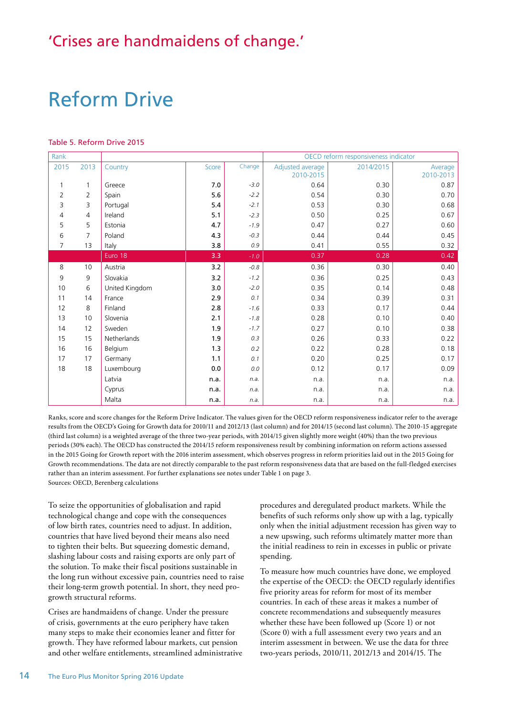### 'Crises are handmaidens of change.'

## Reform Drive

#### Table 5. Reform Drive 2015

| Rank           |                |                |         |        | OECD reform responsiveness indicator |           |           |  |  |  |  |
|----------------|----------------|----------------|---------|--------|--------------------------------------|-----------|-----------|--|--|--|--|
| 2015           | 2013           | Country        | Score   | Change | Adjusted average                     | 2014/2015 | Average   |  |  |  |  |
|                |                |                |         |        | 2010-2015                            |           | 2010-2013 |  |  |  |  |
| $\mathbf{1}$   | $\mathbf{1}$   | Greece         | $7.0\,$ | $-3.0$ | 0.64                                 | 0.30      | 0.87      |  |  |  |  |
| $\overline{2}$ | 2              | Spain          | 5.6     | $-2.2$ | 0.54                                 | 0.30      | 0.70      |  |  |  |  |
| 3              | 3              | Portugal       | 5.4     | $-2.1$ | 0.53                                 | 0.30      | 0.68      |  |  |  |  |
| 4              | 4              | Ireland        | 5.1     | $-2.3$ | 0.50                                 | 0.25      | 0.67      |  |  |  |  |
| 5              | 5              | Estonia        | 4.7     | $-1.9$ | 0.47                                 | 0.27      | 0.60      |  |  |  |  |
| 6              | $\overline{7}$ | Poland         | 4.3     | $-0.3$ | 0.44                                 | 0.44      | 0.45      |  |  |  |  |
| $\overline{7}$ | 13             | Italy          | 3.8     | 0.9    | 0.41                                 | 0.55      | 0.32      |  |  |  |  |
|                |                | Euro 18        | 3.3     | $-1.0$ | 0.37                                 | 0.28      | 0.42      |  |  |  |  |
| 8              | 10             | Austria        | 3.2     | $-0.8$ | 0.36                                 | 0.30      | 0.40      |  |  |  |  |
| 9              | 9              | Slovakia       | 3.2     | $-1.2$ | 0.36                                 | 0.25      | 0.43      |  |  |  |  |
| 10             | 6              | United Kingdom | 3.0     | $-2.0$ | 0.35                                 | 0.14      | 0.48      |  |  |  |  |
| 11             | 14             | France         | 2.9     | 0.1    | 0.34                                 | 0.39      | 0.31      |  |  |  |  |
| 12             | 8              | Finland        | 2.8     | $-1.6$ | 0.33                                 | 0.17      | 0.44      |  |  |  |  |
| 13             | 10             | Slovenia       | 2.1     | $-1.8$ | 0.28                                 | 0.10      | 0.40      |  |  |  |  |
| 14             | 12             | Sweden         | 1.9     | $-1.7$ | 0.27                                 | 0.10      | 0.38      |  |  |  |  |
| 15             | 15             | Netherlands    | 1.9     | 0.3    | 0.26                                 | 0.33      | 0.22      |  |  |  |  |
| 16             | 16             | Belgium        | 1.3     | 0.2    | 0.22                                 | 0.28      | 0.18      |  |  |  |  |
| 17             | 17             | Germany        | 1.1     | 0.1    | 0.20                                 | 0.25      | 0.17      |  |  |  |  |
| 18             | 18             | Luxembourg     | 0.0     | 0.0    | 0.12                                 | 0.17      | 0.09      |  |  |  |  |
|                |                | Latvia         | n.a.    | n.a.   | n.a.                                 | n.a.      | n.a.      |  |  |  |  |
|                |                | Cyprus         | n.a.    | n.a.   | n.a.                                 | n.a.      | n.a.      |  |  |  |  |
|                |                | Malta          | n.a.    | n.a.   | n.a.                                 | n.a.      | n.a.      |  |  |  |  |

Ranks, score and score changes for the Reform Drive Indicator. The values given for the OECD reform responsiveness indicator refer to the average results from the OECD's Going for Growth data for 2010/11 and 2012/13 (last column) and for 2014/15 (second last column). The 2010-15 aggregate (third last column) is a weighted average of the three two-year periods, with 2014/15 given slightly more weight (40%) than the two previous periods (30% each). The OECD has constructed the 2014/15 reform responsiveness result by combining information on reform actions assessed in the 2015 Going for Growth report with the 2016 interim assessment, which observes progress in reform priorities laid out in the 2015 Going for Growth recommendations. The data are not directly comparable to the past reform responsiveness data that are based on the full-fledged exercises rather than an interim assessment. For further explanations see notes under Table 1 on page 3. Sources: OECD, Berenberg calculations

To seize the opportunities of globalisation and rapid technological change and cope with the consequences of low birth rates, countries need to adjust. In addition, countries that have lived beyond their means also need to tighten their belts. But squeezing domestic demand, slashing labour costs and raising exports are only part of the solution. To make their fiscal positions sustainable in the long run without excessive pain, countries need to raise their long-term growth potential. In short, they need progrowth structural reforms.

Crises are handmaidens of change. Under the pressure of crisis, governments at the euro periphery have taken many steps to make their economies leaner and fitter for growth. They have reformed labour markets, cut pension and other welfare entitlements, streamlined administrative procedures and deregulated product markets. While the benefits of such reforms only show up with a lag, typically only when the initial adjustment recession has given way to a new upswing, such reforms ultimately matter more than the initial readiness to rein in excesses in public or private spending.

To measure how much countries have done, we employed the expertise of the OECD: the OECD regularly identifies five priority areas for reform for most of its member countries. In each of these areas it makes a number of concrete recommendations and subsequently measures whether these have been followed up (Score 1) or not (Score 0) with a full assessment every two years and an interim assessment in between. We use the data for three two-years periods, 2010/11, 2012/13 and 2014/15. The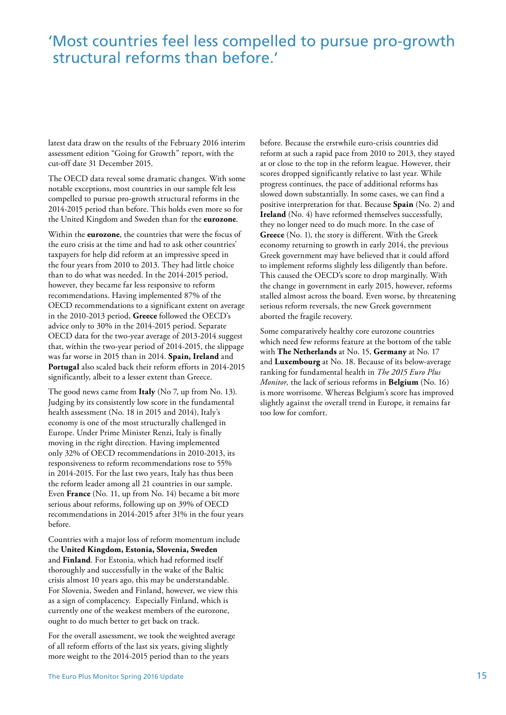### 'Most countries feel less compelled to pursue pro-growth structural reforms than before.'

latest data draw on the results of the February 2016 interim assessment edition "Going for Growth" report, with the cut-off date 31 December 2015.

The OECD data reveal some dramatic changes. With some notable exceptions, most countries in our sample felt less compelled to pursue pro-growth structural reforms in the 2014-2015 period than before. This holds even more so for the United Kingdom and Sweden than for the **eurozone**.

Within the **eurozone**, the countries that were the focus of the euro crisis at the time and had to ask other countries' taxpayers for help did reform at an impressive speed in the four years from 2010 to 2013. They had little choice than to do what was needed. In the 2014-2015 period, however, they became far less responsive to reform recommendations. Having implemented 87% of the OECD recommendations to a significant extent on average in the 2010-2013 period, **Greece** followed the OECD's advice only to 30% in the 2014-2015 period. Separate OECD data for the two-year average of 2013-2014 suggest that, within the two-year period of 2014-2015, the slippage was far worse in 2015 than in 2014. **Spain, Ireland** and **Portugal** also scaled back their reform efforts in 2014-2015 significantly, albeit to a lesser extent than Greece.

The good news came from **Italy** (No 7, up from No. 13). Judging by its consistently low score in the fundamental health assessment (No. 18 in 2015 and 2014), Italy's economy is one of the most structurally challenged in Europe. Under Prime Minister Renzi, Italy is finally moving in the right direction. Having implemented only 32% of OECD recommendations in 2010-2013, its responsiveness to reform recommendations rose to 55% in 2014-2015. For the last two years, Italy has thus been the reform leader among all 21 countries in our sample. Even **France** (No. 11, up from No. 14) became a bit more serious about reforms, following up on 39% of OECD recommendations in 2014-2015 after 31% in the four years before.

Countries with a major loss of reform momentum include the **United Kingdom, Estonia, Slovenia, Sweden**  and **Finland**. For Estonia, which had reformed itself thoroughly and successfully in the wake of the Baltic crisis almost 10 years ago, this may be understandable. For Slovenia, Sweden and Finland, however, we view this as a sign of complacency. Especially Finland, which is currently one of the weakest members of the eurozone, ought to do much better to get back on track.

For the overall assessment, we took the weighted average of all reform efforts of the last six years, giving slightly more weight to the 2014-2015 period than to the years

before. Because the erstwhile euro-crisis countries did reform at such a rapid pace from 2010 to 2013, they stayed at or close to the top in the reform league. However, their scores dropped significantly relative to last year. While progress continues, the pace of additional reforms has slowed down substantially. In some cases, we can find a positive interpretation for that. Because **Spain** (No. 2) and **Ireland** (No. 4) have reformed themselves successfully, they no longer need to do much more. In the case of **Greece** (No. 1), the story is different. With the Greek economy returning to growth in early 2014, the previous Greek government may have believed that it could afford to implement reforms slightly less diligently than before. This caused the OECD's score to drop marginally. With the change in government in early 2015, however, reforms stalled almost across the board. Even worse, by threatening serious reform reversals, the new Greek government aborted the fragile recovery.

Some comparatively healthy core eurozone countries which need few reforms feature at the bottom of the table with **The Netherlands** at No. 15, **Germany** at No. 17 and **Luxembourg** at No. 18. Because of its below-average ranking for fundamental health in *The 2015 Euro Plus Monitor,* the lack of serious reforms in **Belgium** (No. 16) is more worrisome. Whereas Belgium's score has improved slightly against the overall trend in Europe, it remains far too low for comfort.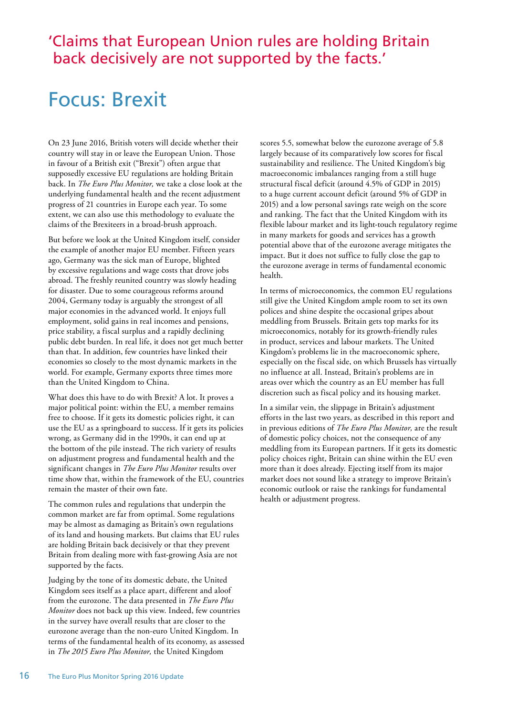### 'Claims that European Union rules are holding Britain back decisively are not supported by the facts.'

## Focus: Brexit

On 23 June 2016, British voters will decide whether their country will stay in or leave the European Union. Those in favour of a British exit ("Brexit") often argue that supposedly excessive EU regulations are holding Britain back. In *The Euro Plus Monitor,* we take a close look at the underlying fundamental health and the recent adjustment progress of 21 countries in Europe each year. To some extent, we can also use this methodology to evaluate the claims of the Brexiteers in a broad-brush approach.

But before we look at the United Kingdom itself, consider the example of another major EU member. Fifteen years ago, Germany was the sick man of Europe, blighted by excessive regulations and wage costs that drove jobs abroad. The freshly reunited country was slowly heading for disaster. Due to some courageous reforms around 2004, Germany today is arguably the strongest of all major economies in the advanced world. It enjoys full employment, solid gains in real incomes and pensions, price stability, a fiscal surplus and a rapidly declining public debt burden. In real life, it does not get much better than that. In addition, few countries have linked their economies so closely to the most dynamic markets in the world. For example, Germany exports three times more than the United Kingdom to China.

What does this have to do with Brexit? A lot. It proves a major political point: within the EU, a member remains free to choose. If it gets its domestic policies right, it can use the EU as a springboard to success. If it gets its policies wrong, as Germany did in the 1990s, it can end up at the bottom of the pile instead. The rich variety of results on adjustment progress and fundamental health and the significant changes in *The Euro Plus Monitor* results over time show that, within the framework of the EU, countries remain the master of their own fate.

The common rules and regulations that underpin the common market are far from optimal. Some regulations may be almost as damaging as Britain's own regulations of its land and housing markets. But claims that EU rules are holding Britain back decisively or that they prevent Britain from dealing more with fast-growing Asia are not supported by the facts.

Judging by the tone of its domestic debate, the United Kingdom sees itself as a place apart, different and aloof from the eurozone. The data presented in *The Euro Plus Monitor* does not back up this view. Indeed, few countries in the survey have overall results that are closer to the eurozone average than the non-euro United Kingdom. In terms of the fundamental health of its economy, as assessed in *The 2015 Euro Plus Monitor,* the United Kingdom

scores 5.5, somewhat below the eurozone average of 5.8 largely because of its comparatively low scores for fiscal sustainability and resilience. The United Kingdom's big macroeconomic imbalances ranging from a still huge structural fiscal deficit (around 4.5% of GDP in 2015) to a huge current account deficit (around 5% of GDP in 2015) and a low personal savings rate weigh on the score and ranking. The fact that the United Kingdom with its flexible labour market and its light-touch regulatory regime in many markets for goods and services has a growth potential above that of the eurozone average mitigates the impact. But it does not suffice to fully close the gap to the eurozone average in terms of fundamental economic health.

In terms of microeconomics, the common EU regulations still give the United Kingdom ample room to set its own polices and shine despite the occasional gripes about meddling from Brussels. Britain gets top marks for its microeconomics, notably for its growth-friendly rules in product, services and labour markets. The United Kingdom's problems lie in the macroeconomic sphere, especially on the fiscal side, on which Brussels has virtually no influence at all. Instead, Britain's problems are in areas over which the country as an EU member has full discretion such as fiscal policy and its housing market.

In a similar vein, the slippage in Britain's adjustment efforts in the last two years, as described in this report and in previous editions of *The Euro Plus Monitor,* are the result of domestic policy choices, not the consequence of any meddling from its European partners. If it gets its domestic policy choices right, Britain can shine within the EU even more than it does already. Ejecting itself from its major market does not sound like a strategy to improve Britain's economic outlook or raise the rankings for fundamental health or adjustment progress.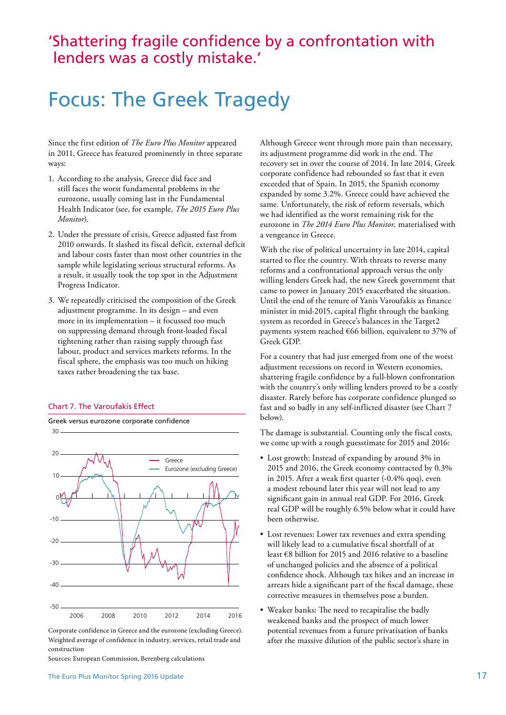### 'Shattering fragile confidence by a confrontation with lenders was a costly mistake.'

## Focus: The Greek Tragedy

Since the first edition of *The Euro Plus Monitor* appeared in 2011, Greece has featured prominently in three separate ways:

- 1. According to the analysis, Greece did face and still faces the worst fundamental problems in the eurozone, usually coming last in the Fundamental Health Indicator (see, for example, *The 2015 Euro Plus Monitor*).
- 2. Under the pressure of crisis, Greece adjusted fast from 2010 onwards. It slashed its fiscal deficit, external deficit and labour costs faster than most other countries in the sample while legislating serious structural reforms. As a result, it usually took the top spot in the Adjustment Progress Indicator.
- 3. We repeatedly criticised the composition of the Greek adjustment programme. In its design – and even more in its implementation – it focussed too much on suppressing demand through front-loaded fiscal tightening rather than raising supply through fast labour, product and services markets reforms. In the fiscal sphere, the emphasis was too much on hiking taxes rather broadening the tax base.

#### Chart 7. The Varoufakis Effect



Corporate confidence in Greece and the eurozone (excluding Greece). Weighted average of confidence in industry, services, retail trade and construction

Sources: European Commission, Berenberg calculations

Although Greece went through more pain than necessary, its adjustment programme did work in the end. The recovery set in over the course of 2014. In late 2014, Greek corporate confidence had rebounded so fast that it even exceeded that of Spain. In 2015, the Spanish economy expanded by some 3.2%. Greece could have achieved the same. Unfortunately, the risk of reform reversals, which we had identified as the worst remaining risk for the eurozone in *The 2014 Euro Plus Monitor,* materialised with a vengeance in Greece.

With the rise of political uncertainty in late 2014, capital started to flee the country. With threats to reverse many reforms and a confrontational approach versus the only willing lenders Greek had, the new Greek government that came to power in January 2015 exacerbated the situation. Until the end of the tenure of Yanis Varoufakis as finance minister in mid-2015, capital flight through the banking system as recorded in Greece's balances in the Target2 payments system reached €66 billion, equivalent to 37% of Greek GDP.

For a country that had just emerged from one of the worst adjustment recessions on record in Western economies, shattering fragile confidence by a full-blown confrontation with the country's only willing lenders proved to be a costly disaster. Rarely before has corporate confidence plunged so fast and so badly in any self-inflicted disaster (see Chart 7 below).

The damage is substantial. Counting only the fiscal costs, we come up with a rough guesstimate for 2015 and 2016:

- Lost growth: Instead of expanding by around 3% in 2015 and 2016, the Greek economy contracted by 0.3% in 2015. After a weak first quarter (-0.4% qoq), even a modest rebound later this year will not lead to any significant gain in annual real GDP. For 2016, Greek real GDP will be roughly 6.5% below what it could have been otherwise.
- Lost revenues: Lower tax revenues and extra spending will likely lead to a cumulative fiscal shortfall of at least €8 billion for 2015 and 2016 relative to a baseline of unchanged policies and the absence of a political confidence shock. Although tax hikes and an increase in arrears hide a significant part of the fiscal damage, these corrective measures in themselves pose a burden.
- Weaker banks: The need to recapitalise the badly weakened banks and the prospect of much lower potential revenues from a future privatisation of banks after the massive dilution of the public sector's share in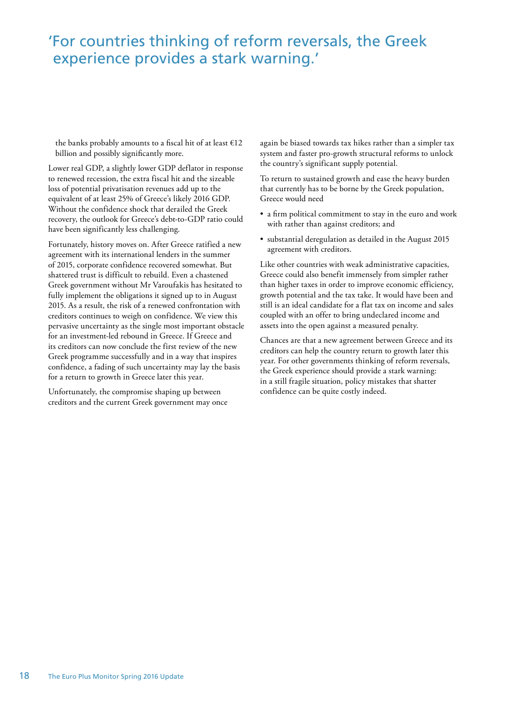### 'For countries thinking of reform reversals, the Greek experience provides a stark warning.'

the banks probably amounts to a fiscal hit of at least  $E12$ billion and possibly significantly more.

Lower real GDP, a slightly lower GDP deflator in response to renewed recession, the extra fiscal hit and the sizeable loss of potential privatisation revenues add up to the equivalent of at least 25% of Greece's likely 2016 GDP. Without the confidence shock that derailed the Greek recovery, the outlook for Greece's debt-to-GDP ratio could have been significantly less challenging.

Fortunately, history moves on. After Greece ratified a new agreement with its international lenders in the summer of 2015, corporate confidence recovered somewhat. But shattered trust is difficult to rebuild. Even a chastened Greek government without Mr Varoufakis has hesitated to fully implement the obligations it signed up to in August 2015. As a result, the risk of a renewed confrontation with creditors continues to weigh on confidence. We view this pervasive uncertainty as the single most important obstacle for an investment-led rebound in Greece. If Greece and its creditors can now conclude the first review of the new Greek programme successfully and in a way that inspires confidence, a fading of such uncertainty may lay the basis for a return to growth in Greece later this year.

Unfortunately, the compromise shaping up between creditors and the current Greek government may once again be biased towards tax hikes rather than a simpler tax system and faster pro-growth structural reforms to unlock the country's significant supply potential.

To return to sustained growth and ease the heavy burden that currently has to be borne by the Greek population, Greece would need

- a firm political commitment to stay in the euro and work with rather than against creditors; and
- substantial deregulation as detailed in the August 2015 agreement with creditors.

Like other countries with weak administrative capacities, Greece could also benefit immensely from simpler rather than higher taxes in order to improve economic efficiency, growth potential and the tax take. It would have been and still is an ideal candidate for a flat tax on income and sales coupled with an offer to bring undeclared income and assets into the open against a measured penalty.

Chances are that a new agreement between Greece and its creditors can help the country return to growth later this year. For other governments thinking of reform reversals, the Greek experience should provide a stark warning: in a still fragile situation, policy mistakes that shatter confidence can be quite costly indeed.